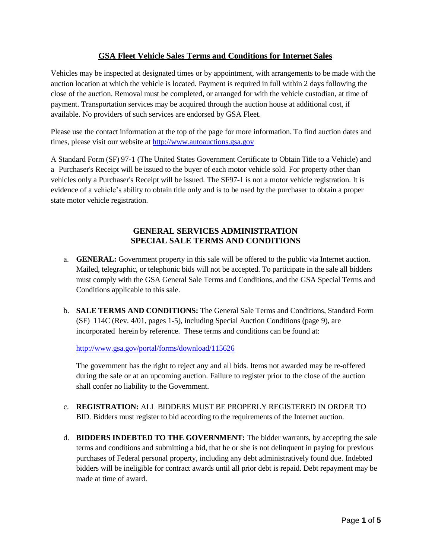## **GSA Fleet Vehicle Sales Terms and Conditions for Internet Sales**

Vehicles may be inspected at designated times or by appointment, with arrangements to be made with the auction location at which the vehicle is located. Payment is required in full within 2 days following the close of the auction. Removal must be completed, or arranged for with the vehicle custodian, at time of payment. Transportation services may be acquired through the auction house at additional cost, if available. No providers of such services are endorsed by GSA Fleet.

Please use the contact information at the top of the page for more information. To find auction dates and times, please visit our website at [http://www.autoauctions.gsa.gov](autoauctions.gsa.gov/GSAAutoAuctions)

A Standard Form (SF) 97-1 (The United States Government Certificate to Obtain Title to a Vehicle) and a Purchaser's Receipt will be issued to the buyer of each motor vehicle sold. For property other than vehicles only a Purchaser's Receipt will be issued. The SF97-1 is not a motor vehicle registration. It is evidence of a vehicle's ability to obtain title only and is to be used by the purchaser to obtain a proper state motor vehicle registration.

## **GENERAL SERVICES ADMINISTRATION SPECIAL SALE TERMS AND CONDITIONS**

- a. **GENERAL:** Government property in this sale will be offered to the public via Internet auction. Mailed, telegraphic, or telephonic bids will not be accepted. To participate in the sale all bidders must comply with the GSA General Sale Terms and Conditions, and the GSA Special Terms and Conditions applicable to this sale.
- b. **SALE TERMS AND CONDITIONS:** The General Sale Terms and Conditions, Standard Form (SF) 114C (Rev. 4/01, pages 1-5), including Special Auction Conditions (page 9), are incorporated herein by reference. These terms and conditions can be found at:

<http://www.gsa.gov/portal/forms/download/115626>

The government has the right to reject any and all bids. Items not awarded may be re-offered during the sale or at an upcoming auction. Failure to register prior to the close of the auction shall confer no liability to the Government.

- c. **REGISTRATION:** ALL BIDDERS MUST BE PROPERLY REGISTERED IN ORDER TO BID. Bidders must register to bid according to the requirements of the Internet auction.
- d. **BIDDERS INDEBTED TO THE GOVERNMENT:** The bidder warrants, by accepting the sale terms and conditions and submitting a bid, that he or she is not delinquent in paying for previous purchases of Federal personal property, including any debt administratively found due. Indebted bidders will be ineligible for contract awards until all prior debt is repaid. Debt repayment may be made at time of award.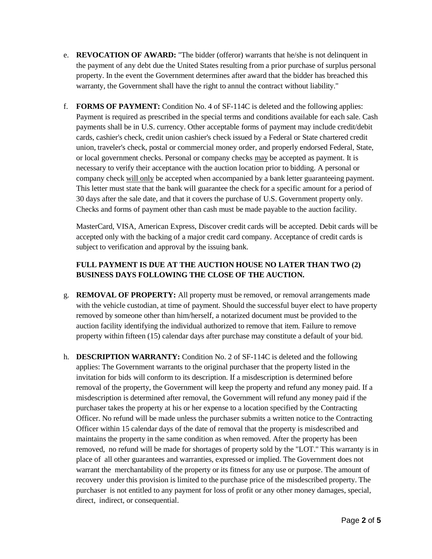- e. **REVOCATION OF AWARD:** "The bidder (offeror) warrants that he/she is not delinquent in the payment of any debt due the United States resulting from a prior purchase of surplus personal property. In the event the Government determines after award that the bidder has breached this warranty, the Government shall have the right to annul the contract without liability."
- f. **FORMS OF PAYMENT:** Condition No. 4 of SF-114C is deleted and the following applies: Payment is required as prescribed in the special terms and conditions available for each sale. Cash payments shall be in U.S. currency. Other acceptable forms of payment may include credit/debit cards, cashier's check, credit union cashier's check issued by a Federal or State chartered credit union, traveler's check, postal or commercial money order, and properly endorsed Federal, State, or local government checks. Personal or company checks may be accepted as payment. It is necessary to verify their acceptance with the auction location prior to bidding. A personal or company check will only be accepted when accompanied by a bank letter guaranteeing payment. This letter must state that the bank will guarantee the check for a specific amount for a period of 30 days after the sale date, and that it covers the purchase of U.S. Government property only. Checks and forms of payment other than cash must be made payable to the auction facility.

MasterCard, VISA, American Express, Discover credit cards will be accepted. Debit cards will be accepted only with the backing of a major credit card company. Acceptance of credit cards is subject to verification and approval by the issuing bank.

# **FULL PAYMENT IS DUE AT THE AUCTION HOUSE NO LATER THAN TWO (2) BUSINESS DAYS FOLLOWING THE CLOSE OF THE AUCTION.**

- g. **REMOVAL OF PROPERTY:** All property must be removed, or removal arrangements made with the vehicle custodian, at time of payment. Should the successful buyer elect to have property removed by someone other than him/herself, a notarized document must be provided to the auction facility identifying the individual authorized to remove that item. Failure to remove property within fifteen (15) calendar days after purchase may constitute a default of your bid.
- h. **DESCRIPTION WARRANTY:** Condition No. 2 of SF-114C is deleted and the following applies: The Government warrants to the original purchaser that the property listed in the invitation for bids will conform to its description. If a misdescription is determined before removal of the property, the Government will keep the property and refund any money paid. If a misdescription is determined after removal, the Government will refund any money paid if the purchaser takes the property at his or her expense to a location specified by the Contracting Officer. No refund will be made unless the purchaser submits a written notice to the Contracting Officer within 15 calendar days of the date of removal that the property is misdescribed and maintains the property in the same condition as when removed. After the property has been removed, no refund will be made for shortages of property sold by the "LOT." This warranty is in place of all other guarantees and warranties, expressed or implied. The Government does not warrant the merchantability of the property or its fitness for any use or purpose. The amount of recovery under this provision is limited to the purchase price of the misdescribed property. The purchaser is not entitled to any payment for loss of profit or any other money damages, special, direct, indirect, or consequential.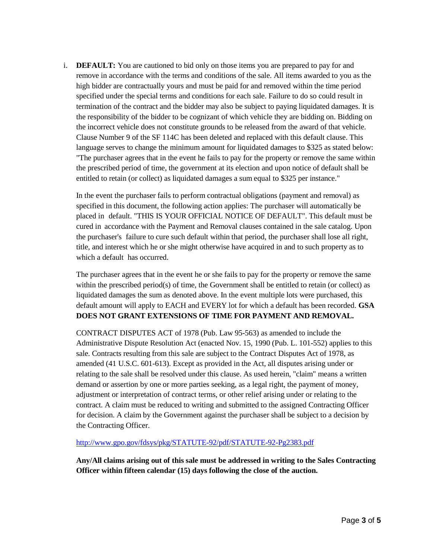i. **DEFAULT:** You are cautioned to bid only on those items you are prepared to pay for and remove in accordance with the terms and conditions of the sale. All items awarded to you as the high bidder are contractually yours and must be paid for and removed within the time period specified under the special terms and conditions for each sale. Failure to do so could result in termination of the contract and the bidder may also be subject to paying liquidated damages. It is the responsibility of the bidder to be cognizant of which vehicle they are bidding on. Bidding on the incorrect vehicle does not constitute grounds to be released from the award of that vehicle. Clause Number 9 of the SF 114C has been deleted and replaced with this default clause. This language serves to change the minimum amount for liquidated damages to \$325 as stated below: "The purchaser agrees that in the event he fails to pay for the property or remove the same within the prescribed period of time, the government at its election and upon notice of default shall be entitled to retain (or collect) as liquidated damages a sum equal to \$325 per instance."

In the event the purchaser fails to perform contractual obligations (payment and removal) as specified in this document, the following action applies: The purchaser will automatically be placed in default. "THIS IS YOUR OFFICIAL NOTICE OF DEFAULT". This default must be cured in accordance with the Payment and Removal clauses contained in the sale catalog. Upon the purchaser's failure to cure such default within that period, the purchaser shall lose all right, title, and interest which he or she might otherwise have acquired in and to such property as to which a default has occurred.

The purchaser agrees that in the event he or she fails to pay for the property or remove the same within the prescribed period(s) of time, the Government shall be entitled to retain (or collect) as liquidated damages the sum as denoted above. In the event multiple lots were purchased, this default amount will apply to EACH and EVERY lot for which a default has been recorded. **GSA DOES NOT GRANT EXTENSIONS OF TIME FOR PAYMENT AND REMOVAL.**

CONTRACT DISPUTES ACT of 1978 (Pub. Law 95-563) as amended to include the Administrative Dispute Resolution Act (enacted Nov. 15, 1990 (Pub. L. 101-552) applies to this sale. Contracts resulting from this sale are subject to the Contract Disputes Act of 1978, as amended (41 U.S.C. 601-613). Except as provided in the Act, all disputes arising under or relating to the sale shall be resolved under this clause. As used herein, "claim" means a written demand or assertion by one or more parties seeking, as a legal right, the payment of money, adjustment or interpretation of contract terms, or other relief arising under or relating to the contract. A claim must be reduced to writing and submitted to the assigned Contracting Officer for decision. A claim by the Government against the purchaser shall be subject to a decision by the Contracting Officer.

#### <http://www.gpo.gov/fdsys/pkg/STATUTE-92/pdf/STATUTE-92-Pg2383.pdf>

**Any/All claims arising out of this sale must be addressed in writing to the Sales Contracting Officer within fifteen calendar (15) days following the close of the auction.**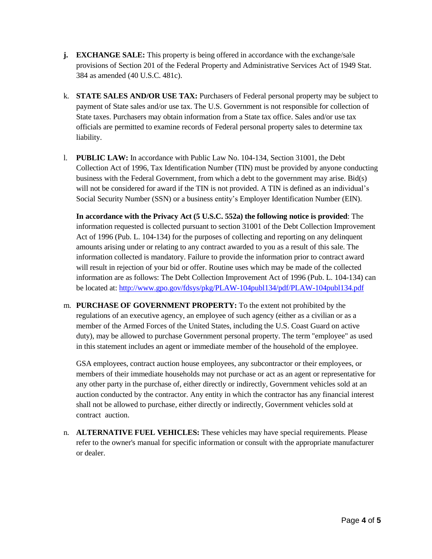- **j. EXCHANGE SALE:** This property is being offered in accordance with the exchange/sale provisions of Section 201 of the Federal Property and Administrative Services Act of 1949 Stat. 384 as amended (40 U.S.C. 481c).
- k. **STATE SALES AND/OR USE TAX:** Purchasers of Federal personal property may be subject to payment of State sales and/or use tax. The U.S. Government is not responsible for collection of State taxes. Purchasers may obtain information from a State tax office. Sales and/or use tax officials are permitted to examine records of Federal personal property sales to determine tax liability.
- l. **PUBLIC LAW:** In accordance with Public Law No. 104-134, Section 31001, the Debt Collection Act of 1996, Tax Identification Number (TIN) must be provided by anyone conducting business with the Federal Government, from which a debt to the government may arise. Bid(s) will not be considered for award if the TIN is not provided. A TIN is defined as an individual's Social Security Number (SSN) or a business entity's Employer Identification Number (EIN).

**In accordance with the Privacy Act (5 U.S.C. 552a) the following notice is provided**: The information requested is collected pursuant to section 31001 of the Debt Collection Improvement Act of 1996 (Pub. L. 104-134) for the purposes of collecting and reporting on any delinquent amounts arising under or relating to any contract awarded to you as a result of this sale. The information collected is mandatory. Failure to provide the information prior to contract award will result in rejection of your bid or offer. Routine uses which may be made of the collected information are as follows: The Debt Collection Improvement Act of 1996 (Pub. L. 104-134) can be located at:<http://www.gpo.gov/fdsys/pkg/PLAW-104publ134/pdf/PLAW-104publ134.pdf>

m. **PURCHASE OF GOVERNMENT PROPERTY:** To the extent not prohibited by the regulations of an executive agency, an employee of such agency (either as a civilian or as a member of the Armed Forces of the United States, including the U.S. Coast Guard on active duty), may be allowed to purchase Government personal property. The term "employee" as used in this statement includes an agent or immediate member of the household of the employee.

GSA employees, contract auction house employees, any subcontractor or their employees, or members of their immediate households may not purchase or act as an agent or representative for any other party in the purchase of, either directly or indirectly, Government vehicles sold at an auction conducted by the contractor. Any entity in which the contractor has any financial interest shall not be allowed to purchase, either directly or indirectly, Government vehicles sold at contract auction.

n. **ALTERNATIVE FUEL VEHICLES:** These vehicles may have special requirements. Please refer to the owner's manual for specific information or consult with the appropriate manufacturer or dealer.